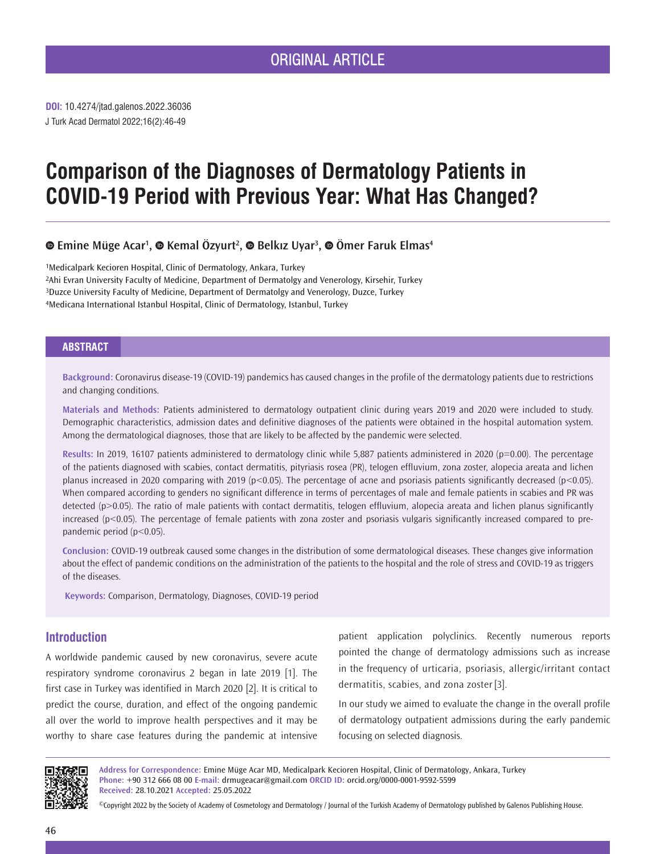J Turk Acad Dermatol 2022;16(2):46-49 **DOI:** 10.4274/jtad.galenos.2022.36036

# **Comparison of the Diagnoses of Dermatology Patients in COVID-19 Period with Previous Year: What Has Changed?**

## *EmineMüge Acar<sup>1</sup>, © Kemal Özyurt<sup>2</sup>, © Belkız Uyar<sup>3</sup>, © Ömer Faruk Elmas<sup>4</sup>*

1Medicalpark Kecioren Hospital, Clinic of Dermatology, Ankara, Turkey 2Ahi Evran University Faculty of Medicine, Department of Dermatolgy and Venerology, Kirsehir, Turkey 3Duzce University Faculty of Medicine, Department of Dermatolgy and Venerology, Duzce, Turkey 4Medicana International Istanbul Hospital, Clinic of Dermatology, Istanbul, Turkey

## **ABSTRACT**

**Background:** Coronavirus disease-19 (COVID-19) pandemics has caused changes in the profile of the dermatology patients due to restrictions and changing conditions.

**Materials and Methods:** Patients administered to dermatology outpatient clinic during years 2019 and 2020 were included to study. Demographic characteristics, admission dates and definitive diagnoses of the patients were obtained in the hospital automation system. Among the dermatological diagnoses, those that are likely to be affected by the pandemic were selected.

**Results:** In 2019, 16107 patients administered to dermatology clinic while 5,887 patients administered in 2020 (p=0.00). The percentage of the patients diagnosed with scabies, contact dermatitis, pityriasis rosea (PR), telogen effluvium, zona zoster, alopecia areata and lichen planus increased in 2020 comparing with 2019 (p<0.05). The percentage of acne and psoriasis patients significantly decreased (p<0.05). When compared according to genders no significant difference in terms of percentages of male and female patients in scabies and PR was detected (p>0.05). The ratio of male patients with contact dermatitis, telogen effluvium, alopecia areata and lichen planus significantly increased (p<0.05). The percentage of female patients with zona zoster and psoriasis vulgaris significantly increased compared to prepandemic period (p<0.05).

**Conclusion:** COVID-19 outbreak caused some changes in the distribution of some dermatological diseases. These changes give information about the effect of pandemic conditions on the administration of the patients to the hospital and the role of stress and COVID-19 as triggers of the diseases.

**Keywords:** Comparison, Dermatology, Diagnoses, COVID-19 period

## **Introduction**

A worldwide pandemic caused by new coronavirus, severe acute respiratory syndrome coronavirus 2 began in late 2019 [1]. The first case in Turkey was identified in March 2020 [2]. It is critical to predict the course, duration, and effect of the ongoing pandemic all over the world to improve health perspectives and it may be worthy to share case features during the pandemic at intensive

patient application polyclinics. Recently numerous reports pointed the change of dermatology admissions such as increase in the frequency of urticaria, psoriasis, allergic/irritant contact dermatitis, scabies, and zona zoster [3].

In our study we aimed to evaluate the change in the overall profile of dermatology outpatient admissions during the early pandemic focusing on selected diagnosis.



**Address for Correspondence:** Emine Müge Acar MD, Medicalpark Kecioren Hospital, Clinic of Dermatology, Ankara, Turkey **Phone:** +90 312 666 08 00 **E-mail:** drmugeacar@gmail.com **ORCID ID:** orcid.org/0000-0001-9592-5599 **Received:** 28.10.2021 **Accepted:** 25.05.2022

©Copyright 2022 by the Society of Academy of Cosmetology and Dermatology / Journal of the Turkish Academy of Dermatology published by Galenos Publishing House.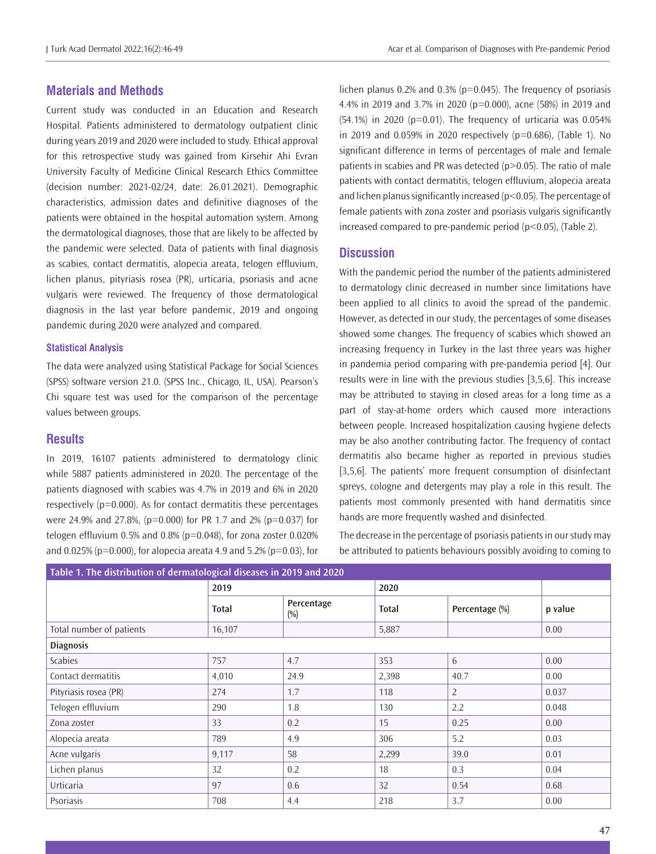## **Materials and Methods**

Current study was conducted in an Education and Research Hospital. Patients administered to dermatology outpatient clinic during years 2019 and 2020 were included to study. Ethical approval for this retrospective study was gained from Kirsehir Ahi Evran University Faculty of Medicine Clinical Research Ethics Committee (decision number: 2021-02/24, date: 26.01.2021). Demographic characteristics, admission dates and definitive diagnoses of the patients were obtained in the hospital automation system. Among the dermatological diagnoses, those that are likely to be affected by the pandemic were selected. Data of patients with final diagnosis as scabies, contact dermatitis, alopecia areata, telogen effluvium, lichen planus, pityriasis rosea (PR), urticaria, psoriasis and acne vulgaris were reviewed. The frequency of those dermatological diagnosis in the last year before pandemic, 2019 and ongoing pandemic during 2020 were analyzed and compared.

#### **Statistical Analysis**

The data were analyzed using Statistical Package for Social Sciences (SPSS) software version 21.0. (SPSS Inc., Chicago, IL, USA). Pearson's Chi square test was used for the comparison of the percentage values between groups.

### **Results**

In 2019, 16107 patients administered to dermatology clinic while 5887 patients administered in 2020. The percentage of the patients diagnosed with scabies was 4.7% in 2019 and 6% in 2020 respectively  $(p=0.000)$ . As for contact dermatitis these percentages were 24.9% and 27.8%, (p=0.000) for PR 1.7 and 2% (p=0.037) for telogen effluvium 0.5% and 0.8% ( $p=0.048$ ), for zona zoster 0.020% and 0.025% (p=0.000), for alopecia areata 4.9 and 5.2% (p=0.03), for lichen planus 0.2% and 0.3% ( $p=0.045$ ). The frequency of psoriasis 4.4% in 2019 and 3.7% in 2020 (p=0.000), acne (58%) in 2019 and  $(54.1%)$  in 2020 (p=0.01). The frequency of urticaria was 0.054% in 2019 and 0.059% in 2020 respectively (p=0.686), (Table 1). No significant difference in terms of percentages of male and female patients in scabies and PR was detected  $(p>0.05)$ . The ratio of male patients with contact dermatitis, telogen effluvium, alopecia areata and lichen planus significantly increased (p<0.05). The percentage of female patients with zona zoster and psoriasis vulgaris significantly increased compared to pre-pandemic period (p<0.05), (Table 2).

## **Discussion**

With the pandemic period the number of the patients administered to dermatology clinic decreased in number since limitations have been applied to all clinics to avoid the spread of the pandemic. However, as detected in our study, the percentages of some diseases showed some changes. The frequency of scabies which showed an increasing frequency in Turkey in the last three years was higher in pandemia period comparing with pre-pandemia period [4]. Our results were in line with the previous studies [3,5,6]. This increase may be attributed to staying in closed areas for a long time as a part of stay-at-home orders which caused more interactions between people. Increased hospitalization causing hygiene defects may be also another contributing factor. The frequency of contact dermatitis also became higher as reported in previous studies [3,5,6]. The patients' more frequent consumption of disinfectant spreys, cologne and detergents may play a role in this result. The patients most commonly presented with hand dermatitis since hands are more frequently washed and disinfected.

The decrease in the percentage of psoriasis patients in our study may be attributed to patients behaviours possibly avoiding to coming to

| Table 1. The distribution of dermatological diseases in 2019 and 2020 |              |                   |              |                |         |  |  |  |  |  |  |
|-----------------------------------------------------------------------|--------------|-------------------|--------------|----------------|---------|--|--|--|--|--|--|
|                                                                       | 2019         |                   | 2020         |                |         |  |  |  |  |  |  |
|                                                                       | <b>Total</b> | Percentage<br>(%) | <b>Total</b> | Percentage (%) | p value |  |  |  |  |  |  |
| Total number of patients                                              | 16,107       |                   | 5,887        |                | 0.00    |  |  |  |  |  |  |
| <b>Diagnosis</b>                                                      |              |                   |              |                |         |  |  |  |  |  |  |
| Scabies                                                               | 757          | 4.7               | 353          | 6              | 0.00    |  |  |  |  |  |  |
| Contact dermatitis                                                    | 4,010        | 24.9              | 2,398        | 40.7           | 0.00    |  |  |  |  |  |  |
| Pityriasis rosea (PR)                                                 | 274          | 1.7               | 118          | 2              | 0.037   |  |  |  |  |  |  |
| Telogen effluvium                                                     | 290          | 1.8               | 130          | 2.2            | 0.048   |  |  |  |  |  |  |
| Zona zoster                                                           | 33           | 0.2               | 15           | 0.25           | 0.00    |  |  |  |  |  |  |
| Alopecia areata                                                       | 789          | 4.9               | 306          | 5.2            | 0.03    |  |  |  |  |  |  |
| Acne vulgaris                                                         | 9,117        | 58                | 2,299        | 39.0           | 0.01    |  |  |  |  |  |  |
| Lichen planus                                                         | 32           | 0.2               | 18           | 0.3            | 0.04    |  |  |  |  |  |  |
| Urticaria                                                             | 97           | 0.6               | 32           | 0.54           | 0.68    |  |  |  |  |  |  |
| Psoriasis                                                             | 708          | 4.4               | 218          | 3.7            | 0.00    |  |  |  |  |  |  |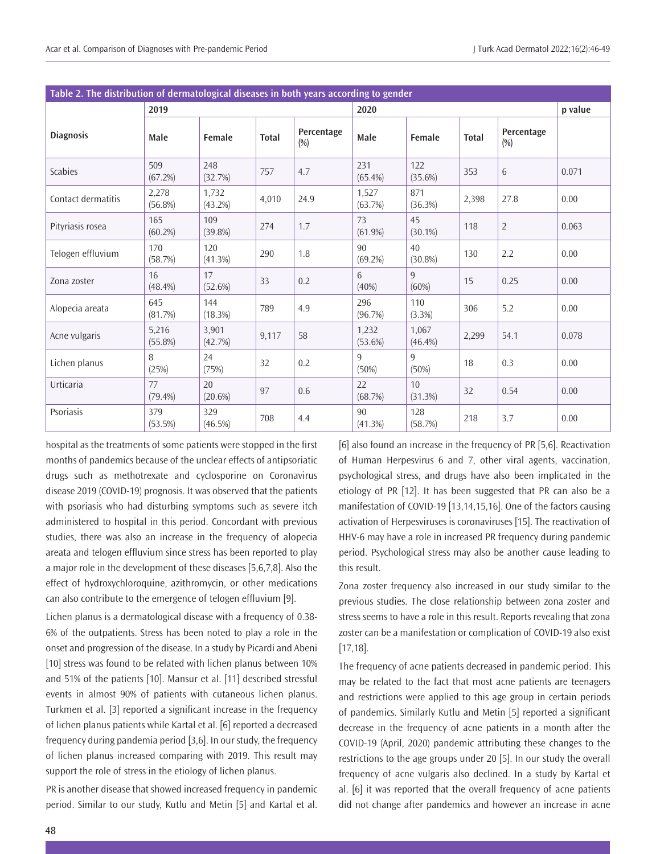| Table 2. The distribution of dermatological diseases in both years according to gender |                     |                  |              |                   |                     |                            |              |                   |         |  |  |  |
|----------------------------------------------------------------------------------------|---------------------|------------------|--------------|-------------------|---------------------|----------------------------|--------------|-------------------|---------|--|--|--|
|                                                                                        | 2019                |                  |              |                   | 2020                |                            |              |                   | p value |  |  |  |
| <b>Diagnosis</b>                                                                       | Male                | Female           | <b>Total</b> | Percentage<br>(%) | Male                | Female                     | <b>Total</b> | Percentage<br>(%) |         |  |  |  |
| Scabies                                                                                | 509<br>(67.2%)      | 248<br>(32.7%)   | 757          | 4.7               | 231<br>$(65.4\%)$   | 122<br>$(35.6\%)$          | 353          | 6                 | 0.071   |  |  |  |
| Contact dermatitis                                                                     | 2,278<br>$(56.8\%)$ | 1,732<br>(43.2%) | 4,010        | 24.9              | 1,527<br>(63.7%)    | 871<br>(36.3%)             | 2,398        | 27.8              | 0.00    |  |  |  |
| Pityriasis rosea                                                                       | 165<br>$(60.2\%)$   | 109<br>(39.8%)   | 274          | 1.7               | 73<br>$(61.9\%)$    | 45<br>$(30.1\%)$           | 118          | $\overline{2}$    | 0.063   |  |  |  |
| Telogen effluvium                                                                      | 170<br>(58.7%)      | 120<br>(41.3%)   | 290          | 1.8               | 90<br>$(69.2\%)$    | 40<br>$(30.8\%)$           | 130          | 2.2               | 0.00    |  |  |  |
| Zona zoster                                                                            | 16<br>$(48.4\%)$    | 17<br>(52.6%)    | 33           | 0.2               | 6<br>(40%)          | 9<br>(60%)                 | 15           | 0.25              | 0.00    |  |  |  |
| Alopecia areata                                                                        | 645<br>(81.7%)      | 144<br>(18.3%)   | 789          | 4.9               | 296<br>(96.7%)      | 110<br>(3.3%)              | 306          | 5.2               | 0.00    |  |  |  |
| Acne vulgaris                                                                          | 5,216<br>$(55.8\%)$ | 3,901<br>(42.7%) | 9,117        | 58                | 1,232<br>$(53.6\%)$ | 1,067<br>$(46.4\%)$        | 2,299        | 54.1              | 0.078   |  |  |  |
| Lichen planus                                                                          | 8<br>(25%)          | 24<br>(75%)      | 32           | 0.2               | 9<br>(50%)          | 9<br>(50%)                 | 18           | 0.3               | 0.00    |  |  |  |
| Urticaria                                                                              | 77<br>$(79.4\%)$    | 20<br>(20.6%)    | 97           | 0.6               | 22<br>(68.7%)       | 10 <sup>1</sup><br>(31.3%) | 32           | 0.54              | 0.00    |  |  |  |
| Psoriasis                                                                              | 379<br>(53.5%)      | 329<br>(46.5%)   | 708          | 4.4               | 90<br>(41.3%)       | 128<br>(58.7%)             | 218          | 3.7               | 0.00    |  |  |  |

hospital as the treatments of some patients were stopped in the first months of pandemics because of the unclear effects of antipsoriatic drugs such as methotrexate and cyclosporine on Coronavirus disease 2019 (COVID-19) prognosis. It was observed that the patients with psoriasis who had disturbing symptoms such as severe itch administered to hospital in this period. Concordant with previous studies, there was also an increase in the frequency of alopecia areata and telogen effluvium since stress has been reported to play a major role in the development of these diseases [5,6,7,8]. Also the effect of hydroxychloroquine, azithromycin, or other medications can also contribute to the emergence of telogen effluvium [9].

Lichen planus is a dermatological disease with a frequency of 0.38- 6% of the outpatients. Stress has been noted to play a role in the onset and progression of the disease. In a study by Picardi and Abeni [10] stress was found to be related with lichen planus between 10% and 51% of the patients [10]. Mansur et al. [11] described stressful events in almost 90% of patients with cutaneous lichen planus. Turkmen et al. [3] reported a significant increase in the frequency of lichen planus patients while Kartal et al. [6] reported a decreased frequency during pandemia period [3,6]. In our study, the frequency of lichen planus increased comparing with 2019. This result may support the role of stress in the etiology of lichen planus.

PR is another disease that showed increased frequency in pandemic period. Similar to our study, Kutlu and Metin [5] and Kartal et al.

[6] also found an increase in the frequency of PR [5,6]. Reactivation of Human Herpesvirus 6 and 7, other viral agents, vaccination, psychological stress, and drugs have also been implicated in the etiology of PR [12]. It has been suggested that PR can also be a manifestation of COVID-19 [13,14,15,16]. One of the factors causing activation of Herpesviruses is coronaviruses [15]. The reactivation of HHV-6 may have a role in increased PR frequency during pandemic period. Psychological stress may also be another cause leading to this result.

Zona zoster frequency also increased in our study similar to the previous studies. The close relationship between zona zoster and stress seems to have a role in this result. Reports revealing that zona zoster can be a manifestation or complication of COVID-19 also exist [17,18].

The frequency of acne patients decreased in pandemic period. This may be related to the fact that most acne patients are teenagers and restrictions were applied to this age group in certain periods of pandemics. Similarly Kutlu and Metin [5] reported a significant decrease in the frequency of acne patients in a month after the COVID-19 (April, 2020) pandemic attributing these changes to the restrictions to the age groups under 20 [5]. In our study the overall frequency of acne vulgaris also declined. In a study by Kartal et al. [6] it was reported that the overall frequency of acne patients did not change after pandemics and however an increase in acne